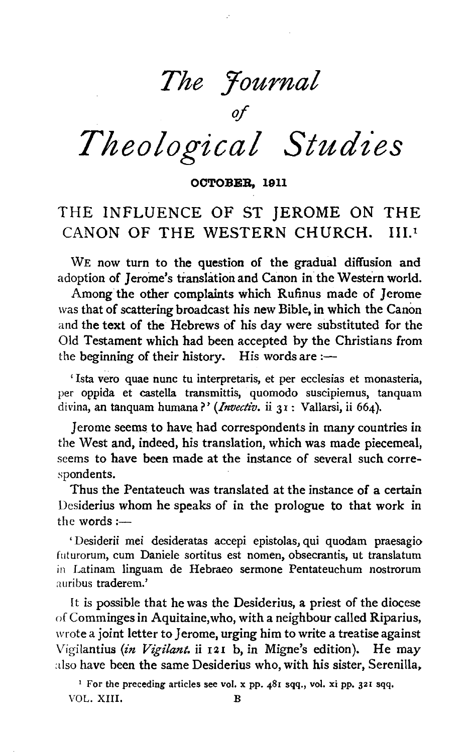*The journal of* 

 $Theological Studies$ 

OCTOBER, 1911

## THE INFLUENCE OF ST JEROME ON THE CANON OF THE WESTERN CHURCH. III.<sup>1</sup>

WE now turn to the question of the gradual diffusion and we now turn to the question of the gradual diffusion and Western world. adoption of Jerome's translation and Canon in the Western world.

Among the other complaints which Rufinus made of Jerome was that of scattering broadcast his new Bible, in which the Canon and the text of the Hebrews of his day were substituted for the Old Testament which had been accepted by the Christians from the beginning of their history. His words are: $\leftarrow$ 

' Ista vero quae nunc tu interpretaris, et per ecclesias et monasteria, et per ecclesias et monasteria, et mon<br>Ista vero quae nunc tu interpretaris, et per ecclesias et monasteria, et monasteria, et monasteria, et monaste Ista vero quae nunc tu interpretaris, et per ecclesias et monasteria, per oppida et castella transmittis, quomodo suscipiemus, tanquam divina, an tanquam humana?' (Invectiv. ii  $31$ : Vallarsi, ii 664).

Jerome seems to have had correspondents in many countries in the West and, indeed, his translation, which was made piecemeal, seems to have been made at the instance of several such correspondents.  $T_{\rm eff}$  the Pentateuch was translated at the instance of a certain  $T_{\rm eff}$ 

I hus the rentateuch was translated at the instance of a certain Desiderius whom he speaks of in the prologue to that work in the words: $\frac{1}{100}$ .

' Desiderii mei desideratas accepi epistolas, quodam praesagiones accepitatis accepitatis quodam praesagiones<br>Desideratas accepitatis accepitatis accepitatis quodam praesagiones accepitatis accepitatis accepitatis accepi futurorum mei desideratas accepi epistolas, qui quodam praesagio futurorum, cum Daniele sortitus est nomen, obsecrantis, ut translatum in Latinam linguam de Hebraeo sermone Pentateuchum nostrorum auribus traderem.' It is possible that he was the Desiderius, a priest of the diocese

 $\alpha$  is possible that he was the *Desiderius*, a priest of the diocese of Comminges in Aquitaine, who, with a neighbour called Riparius, wrote a joint letter to Jerome, urging him to write a treatise against Vigilantius (in Vigilant. ii 121 b, in Migne's edition). He may also have been the same Desiderius who, with his sister, Serenilla, 1 For the preceding articles see vol. *x* pp. 481 sqq., vol. xi pp. 321 sqq., vol. xi p

r or the preceding articles see vol. x p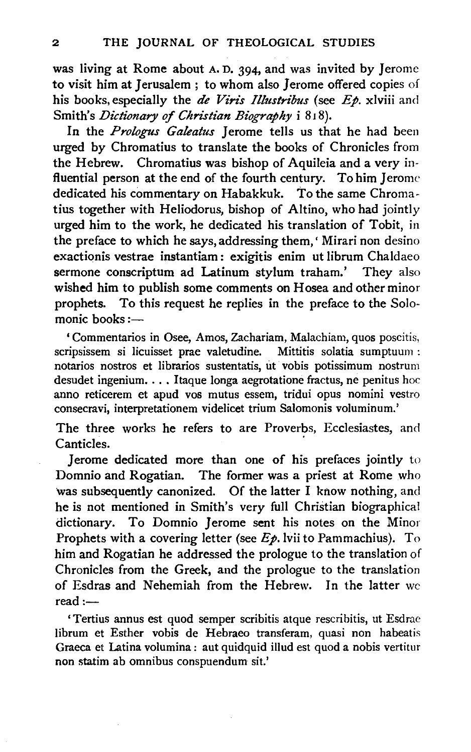was living at Rome about A. D. 394, and was invited by Jeromc to visit him at Jerusalem; to whom also Jerome offered copies of his books, especially the *de Viris Illustribus* (see *Ep.* xlviii and Smith's *Dictionary of Christian Biography* i 818).

In the *Prologus Galeatus* Ierome tells us that he had been urged by Chromatius to translate the books of Chronicles from the Hebrew. Chromatius was bishop of Aquileia and a very influential person at the end of the fourth century. To him Jeromc dedicated his commentary on Habakkuk. To the same Chromatius together with Heliodorus, bishop of Altino, who had jointly urged him to the work, he dedicated his translation of Tobit, in the preface to which he says, addressing them,' Mirari non desino exactionis vestrae instantiam : exigitis enim ut librum Chaldaeo sermone conscriptum ad Latinum stylum traham.' They also wished him to publish some comments on Hosea and other minor prophets. To this request he replies in the preface to the Solomonic books  $:$   $-$ 

' Commentarios in Osee, Amos, Zachariam, Malachiam, quos poscitis, scripsissem si licuisset prae valetudine. Mittitis solatia sumptuum : notarios nostros et librarios sustentatis, ut vobis potissimum nostrum desudet ingenium. . . . Itaque longa aegrotatione fractus, ne penitus hoc anno reticerem et apud vos mutus essem, tridui opus nomini vestro consecravi, interpretationem videlicet trium Salomonis voluminum.'

The three works he refers to are Proverbs, Ecclesiastes, and Canticles.

Jerome dedicated more than one of his prefaces jointly to Domnio and Rogatian. The former was a priest at Rome who was subsequently canonized. Of the latter I know nothing, and he is not mentioned in Smith's very full Christian biographical dictionary. To Domnio Jerome sent his notes on the Minor Prophets with a covering letter (see  $E_p$ . Ivii to Pammachius). To him and Rogatian he addressed the prologue to the translation of Chronicles from the Greek, and the prologue to the translation of Esdras and Nehemiah from the Hebrew. In the latter we  $read:$ 

'Tertius annus est quod semper scribitis atque rescribitis, ut Esdrae librum et Esther vobis de Hebraeo transferam, quasi non habeatis Graeca et Latina volumina: aut quidquid illud est quod a nobis vertitur non statim ab omnibus conspuendum sit.'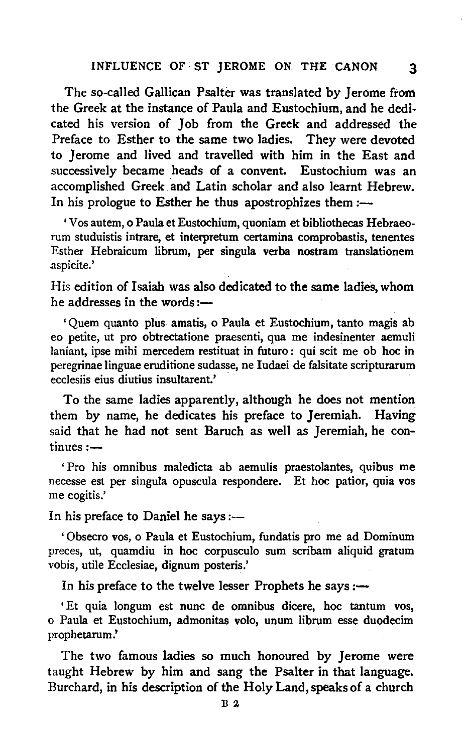The so-called Gallican Psalter was translated by Jerome from the Greek at the instance of Paula and Eustochium, and he dedicated his version of Job from the Greek and addressed the Preface to Esther to the same two ladies. They were devoted to Jerome and lived and travelled with him in the East and successively became heads of a convent. Eustochium was an accomplished Greek and Latin scholar and also learnt Hebrew. In his prologue to Esther he thus apostrophizes them :-

'V os autem, o Paula et Eustochium, quoniam et bibliothecas Hebraeorum studuistis intrare, et interpretum certamina comprobastis, tenentes Esther Hebraicum librum, per singula verba nostram translationem aspicite.'

His edition of Isaiah was also dedicated to the same ladies, whom he addresses in the words  $:$ --

' Quem quanto plus amatis, o Paula et Eustochium, tanto magis ab eo petite, ut pro obtrectatione praesenti, qua me indesinenter aemuli laniant, ipse mihi mercedem restituat in futuro: qui scit me ob hoc in peregrinae linguae eruditione sudasse, ne ludaei de falsitate scripturarum ecclesiis eius diutius insultarent.'

To the same ladies apparently, although he does not mention them by name, he dedicates his preface to Jeremiah. Having said that he had not sent Baruch as well as Jeremiah, he continues:-

' Pro his omnibus maledicta ab aemulis praestolantes, quibus me necesse est per singula opuscula respondere. Et hoc patior, quia vos me cogitis.'

In his preface to Daniel he says: $-$ 

' Obsecro vos, o Paula et Eustochium, fundatis pro me ad Dominum preces, ut, quamdiu in hoc corpusculo sum scribam aliquid gratum vobis, utile Ecclesiae, dignum posteris.'

In his preface to the twelve lesser Prophets he says  $:$   $\rightarrow$ 

'Et quia longum est nunc de omnibus dicere, hoc tantum vos, o Paula et Eustochium, admonitas volo, unum librum esse duodecim prophetarum.'

The two famous ladies so much honoured by Jerome were taught Hebrew by him and sang the Psalter in that language. Burchard, in his description of the Holy Land, speaks of a church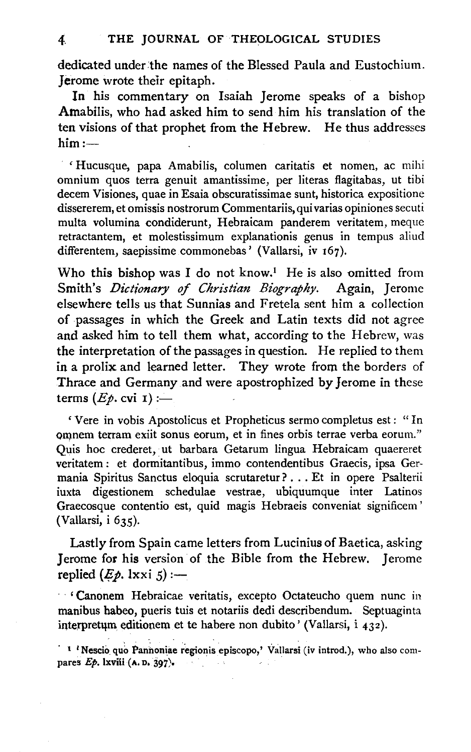4 THE JOURNAL OF THEOLOGICAL STUDIES

dedicated under the names of the Blessed Paula and Eustochium. Jerome wrote their epitaph.

In his commentary on Isaiah Jerome speaks of a bishop Amabilis, who had asked him to send him his translation of the ten visions of that prophet from the Hebrew. He thus addresses  $\lim :=$ 

'Hucusque, papa Amabilis, columen caritatis et nomen, ac mihi omnium quos terra genuit amantissime, per literas flagitabas, ut tibi decem Visiones, quae in Esaia obscuratissimae sunt, historica expositione dissererem, et omissis nostrorum Commentariis, qui varias opiniones secuti multa volumina condiderunt, Hebraicam panderem veritatem, meque retractantem, et molestissimum explanationis genus in tempus aliud differentem, saepissime commonebas' (Vallarsi, iv 167).

Who this bishop was I do not know.<sup>1</sup> He is also omitted from Smith's *Dictionary of Christian Biography.* Again, Jerome elsewhere tells us that Sunnias and Fretela sent him a collection of passages in which the Greek and Latin texts did not agree and asked him to tell them what, according to the Hebrew, was the interpretation of the passages in question. He replied to them in a prolix and learned letter. They wrote from the borders of Thrace and Germany and were apostrophized by Jerome in these terms  $(E_p, \text{cvi } I) :=$ 

' Vere in vobis Apostolicus et Propheticus sermo completus est : "In omnem terram exiit sonus eorum, et in fines orbis terrae verba eorum." Quis hoc crederet, ut barbara Getarum lingua Hebraicam quaereret veritatem: et dormitantibus, immo contendentibus Graecis, ipsa Germania Spiritus Sanctus eloquia scrutaretur? ... Et in opere Psalterii iuxta digestionem schedulae vestrae, ubiquumque inter Latinos Graecosque contentio est, quid magis Hebraeis conveniat significem ' (Vallarsi,  $i$  635).

Lastly from Spain came letters from Lucinius of Baetica, asking Jerome for his version of the Bible from the Hebrew. Jerome replied  $(E_{\hat{P}}$ . lxxi 5) :-

' Canonem Hebraicae veritatis, excepto Octateucho quem nunc in manibus habeo, pueris tuis et notariis dedi describendum. Septuaginta interpretum editionem et te habere non dubito' (Vallarsi, i 432).

<sup>&</sup>lt;sup>1</sup> <sup>1</sup> Nescio quo Pannoniae regionis episcopo,' Vallarsi (iv introd.), who also compares  $Ep$ , lxviii  $(A, D, 397)$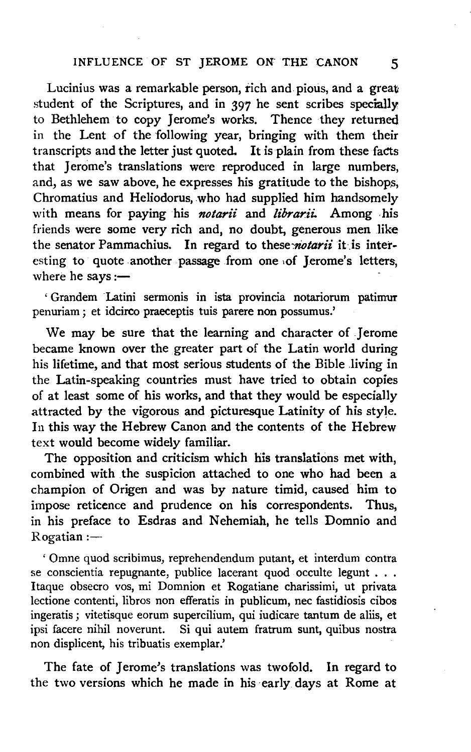Lucinius was a remarkable person, rich and pious, and a great student of the Scriptures, and in 397 he sent scribes specially to Bethlehem to copy Jerome's works. Thence they returned in the Lent of the following year, bringing with them their transcripts and the letter just quoted. It is plain from these facts that Jerome's translations were reproduced in large numbers, and, as we saw above, he expresses his gratitude to the bishops, Chromatius and Heliodorus, who had supplied him handsomely with means for paying his *notarii* and *librarii.* Among his friends were some very rich and, no doubt, generous men like the senator Pammachius. In regard to these *notarii* it is interesting to quote another passage from one of Jerome's letters, where he says: $-$ 

' Grandem Latini sermonis in ista provincia notariorum patimur penuriam ; et idcirco praeceptis tuis parere non possumus.'

We may be sure that the learning and character of Jerome became known over the greater part of the Latin world during his lifetime, and that most serious students of the Bible living in the Latin-speaking countries must have tried to obtain copies of at least some of his works, and that they would be especially attracted by the vigorous and picturesque Latinity of his style. In this way the Hebrew Canon and the contents of the Hebrew text would become widely familiar.

The opposition and criticism which his translations met with, combined with the suspicion attached to one who had been a champion of Origen and was by nature timid, caused him to impose reticence and prudence on his correspondents. Thus, in his preface to Esdras and Nehemiah, he tells Domnio and  $R$ ogatian :-

' Omne quod scribimus, reprehendendum putant, et interdum contra se conscientia repugnante, publice lacerant quod occulte legunt . . . Itaque obsecro vos, mi Domnion et Rogatiane charissimi, ut privata lectione contenti, libros non efferatis in publicum, nee fastidiosis cibos ingeratis ; vitetisque eorum supercilium, qui iudicare tantum de aliis, et ipsi facere nihil noverunt. Si qui autem fratrum sunt, quibus nostra non displicent, his tribuatis exemplar.'

The fate of Jerome's translations was twofold. In regard to the two versions which he made in his early days at Rome at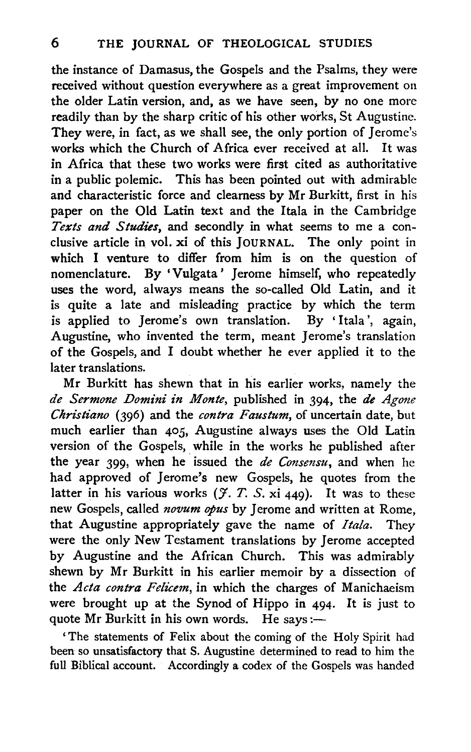the instance of Damasus, the Gospels and the Psalms, they were received without question everywhere as a great improvement on the older Latin version, and, as we have seen, by no one more readily than by the sharp critic of his other works, St Augustine. They were, in fact, as we shall see, the only portion of Jerome's works which the Church of Africa ever received at ail. It was in Africa that these two works were first cited as authoritative in a public polemic. This has been pointed out with admirable and characteristic force and clearness by Mr Burkitt, first in his paper on the Old Latin text and the Itala in the Cambridge *Te%ts and Studies,* and secondly in what seems to me a conclusive article in vol. xi of this JoURNAL. The only point in which I venture to differ from him is on the question of nomenclature. By 'Vulgata' Jerome himself, who repeatedly uses the word, always means the so-called Old Latin, and it is quite a late and misleading practice by which the term is applied to Jerome's own translation. By 'Itala ', again, Augustine, who invented the term, meant Jerome's translation of the Gospels, and I doubt whether he ever applied it to the later translations.

Mr Burkitt has shewn that in his earlier works, namely the *de Sermone Domini in Monte,* published in 394, the *de Agone Christiano* (396) and the *contra Faustum,* of uncertain date, but much earlier than *405,* Augustine always uses the Old Latin version of the Gospels, while in the works he published after the year 399, when he issued the *de Consensu,* and when he had approved of Jerome's new Gospels, he quotes from the latter in his various works  $(\mathcal{F}, T, S, x_i$  449). It was to these new Gospels, called *novum opus* by Jerome and written at Rome, that Augustine appropriately gave the name of *Ita/a.* They were the only New Testament translations by Jerome accepted by Augustine and the African Church. This was admirably shewn by Mr Burkitt in his earlier memoir by a dissection of the *Acta contra Felicem,* in which the charges of Manichaeism were brought up at the Synod of Hippo in 494. It is just to quote Mr Burkitt in his own words. He says: $-$ 

'The statements of Felix about the coming of the Holy Spirit had been so unsatisfactory that S. Augustine determined to read to him the full Biblical account. Accordingly a codex of the Gospels was handed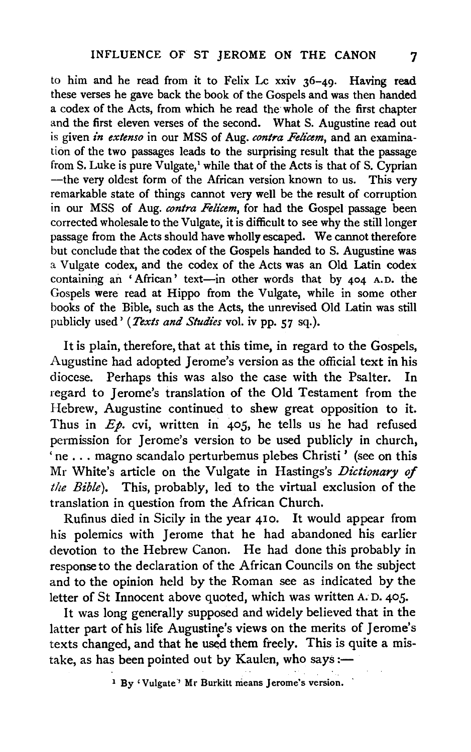to him and he read from it to Felix Lc xxiv 36-49. Having read these verses he gave back the book of the Gospels and was then handed a codex of the Acts, from which he read the whole of the first chapter and the first eleven verses of the second. What S. Augustine read out is given *in extenso* in our MSS of Aug. *contra Felicem,* and an examination of the two passages leads to the surprising result that the passage from S. Luke is pure Vulgate,<sup>1</sup> while that of the Acts is that of S. Cyprian -the very oldest form of the African version known to us. This very remarkable state of things cannot very well be the result of corruption in our MSS of Aug. *contra Felicem,* for had the Gospel passage been corrected wholesale to the Vulgate, it is difficult to see why the still longer passage from the Acts should have wholly escaped. We cannot therefore but conclude that the codex of the Gospels handed to S. Augustine was a Vulgate codex, and the codex of the Acts was an Old Latin codex containing an 'African' text-in other words that by 404 A.D. the Gospels were read at Hippo from the Vulgate, while in some other books of the Bible, such as the Acts, the unrevised Old Latin was still publicly used' *(Texts and Studies* vol. iv pp. 57 sq.).

It is plain, therefore, that at this time, in regard to the Gospels, Augustine had adopted Jerome's version as the official text in his diocese. Perhaps this was also the case with the Psalter, In regard to Jerome's translation of the Old Testament from the Hebrew, Augustine continued to shew great opposition to it. Thus in  $E_p$ , cvi, written in 405, he tells us he had refused permission for Jerome's version to be used publicly in church, ' ne , .. magno scandala perturbemus plebes Christi ' (see on this Mr White's article on the Vulgate in Hastings's *Dictionary of*  the Bible). This, probably, led to the virtual exclusion of the translation in question from the African Church.

Rufinus died in Sicily in the year 410. It would appear from his polemics with Jerome that he had abandoned his earlier devotion to the Hebrew Canon. He had done this probably in response to the declaration of the African Councils on the subject and to the opinion held by the Roman see as indicated by the letter of St Innocent above quoted, which was written A. D. 405.

It was long generally supposed and widely believed that in the latter part of his life Augustine's views on the merits of Jerome's texts changed, and that he used them freely. This is quite a mistake, as has been pointed out by Kaulen, who says :-

<sup>&</sup>lt;sup>1</sup> By 'Vulgate' Mr Burkitt means Jerome's version.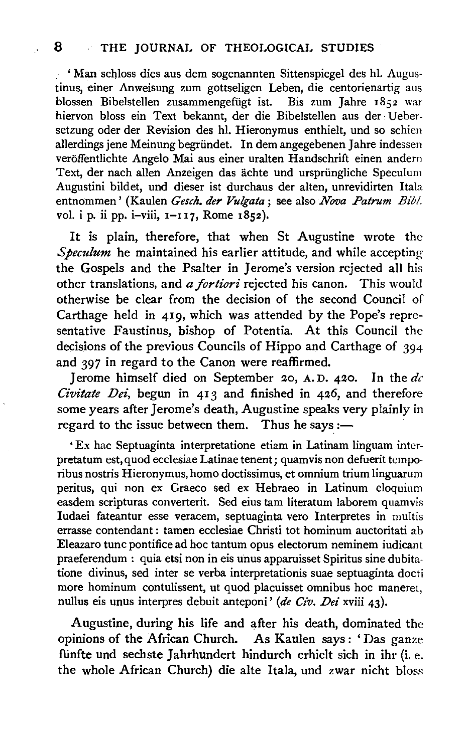' Man schloss dies aus dem sogenannten Sittenspiegel des hl. Augustinus, einer Anweisung zum gottseligen Leben, die centorienartig aus blossen Bibelstellen zusammengefiigt ist. Bis zum Jahre I852 war hiervon bloss ein Text bekannt, der die Bibelstellen aus der Uebersetzung oder der Revision des hl. Hieronymus enthielt, und so schien allerdings jene Meinung begründet. In dem angegebenen Jahre indessen veröffentlichte Angelo Mai aus einer uralten Handschrift einen andern Text, der nach alien Anzeigen das achte und urspriingliche Speculum Augustini bildet, und dieser ist durchaus der alten, unrevidirten Itala entnommen' (Kaulen *Gesch. der Vulgata* ; see also *Nova Patrum Bib!.* vol. i p. ii pp. i-viii,  $1-117$ , Rome  $1852$ ).

It is plain, therefore, that when St Augustine wrote the *Speculum* he maintained his earlier attitude, and while accepting the Gospels and the Psalter in Jerome's version rejected all his other translations, and *a fortiori* rejected his canon. This would otherwise be clear from the decision of the second Council of Carthage held in 419, which was attended by the Pope's representative Faustinus, bishop of Potentia. At this Council the decisions of the previous Councils of Hippo and Carthage of 394 and 397 in regard to the Canon were reaffirmed.

J erome himself died on September 20, A. D. 420. In the *de Civitate Dei,* begun in 413 and finished in 426, and therefore some years after Jerome's death, Augustine speaks very plainly in regard to the issue between them. Thus he says :-

,Ex hac Septuaginta interpretatione etiam in Latinam linguam interpretatum est, quod ecclesiae Latinae tenent; quamvis non defuerit temporibus nostris Hieronymus, homo doctissimus, et omnium trium linguarum peritus, qui non ex Graeco sed ex Hebraeo in Latinum eloquium easdem scripturas converterit. Sed eius tam literatum laborem quamvis Iudaei fateantur esse veracem, septuaginta vero Interpretes in multis errasse contendant: tamen ecclesiae Christi tot hominum auctoritati ab Eleazaro tunc pontifice ad hoc tantum opus electorum neminem iudicant praeferendum : quia etsi non in eis unus apparuisset Spiritus sine dubitatione divinus, sed inter se verba interpretationis suae septuaginta docti more hominum contulissent, ut quod placuisset omnibus hoc maneret, nullus eis unus interpres debuit anteponi' (de Civ. Dei xviii 43).

Augustine, during his life and after his death, dominated the opinions of the African Church. As Kaulen says : 'Das ganze fünfte und sechste Jahrhundert hindurch erhielt sich in ihr (i. e. the whole African Church) die alte Itala, und zwar nicht bloss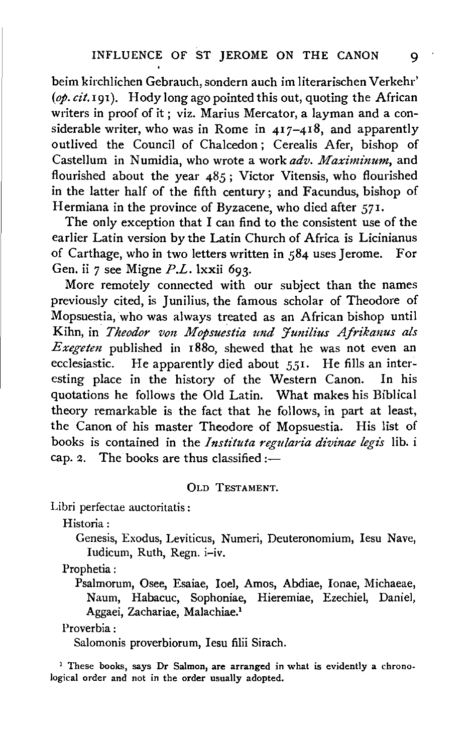beim kirchlichen Gebrauch, sondern auch im literarischen Verkehr' *(op. cit.Igi).* Hody long ago pointed this out, quoting the African writers in proof of it; viz. Marius Mercator, a layman and a considerable writer, who was in Rome in  $417-418$ , and apparently outlived the Council of Chalcedon ; Cerealis Afer, bishop of Castellum in Numidia, who wrote a work *adv. Maximinum,* and flourished about the year 485 ; Victor Vitensis, who flourished in the latter half of the fifth century; and Facundus, bishop of Hermiana in the province of Byzacene, who died after 571.

The only exception that I can find to the consistent use of the earlier Latin version by the Latin Church of Africa is Licinianus of Carthage, who in two letters written in 584 uses Jerome. For Gen. ii *7* see Migne *P.L.* lxxii 693.

More remotely connected with our subject than the names previously cited, is Junilius, the famous scholar of Theodore of Mopsuestia, who was always treated as an African bishop until Kihn, in *Theodor von Mopsuestia und Junilius Afrikanus als Exegeten* published in 188o, shewed that he was not even an ecclesiastic. He apparently died about 551. He fills an interesting place in the history of the Western Canon. In his quotations he follows the Old Latin. What makes his Biblical theory remarkable is the fact that he follows, in part at least, the Canon of his master Theodore of Mopsuestia. His list of books is contained in the *Instituta regularia divinae legis* lib. i cap. 2. The books are thus classified  $:$ 

## OLD TESTAMENT.

Libri perfectae auctoritatis :

Historia:

Genesis, Exodus, Leviticus, Numeri, Deuteronomium, Iesu Nave, Iudicum, Ruth, Regn. i-iv.

Prophetia:

Psalmorum, Osee, Esaiae, Ioel, Amos, Abdiae, Ionae, Michaeae, Naum, Habacuc, Sophoniae, Hieremiae, Ezechiel, Daniel, Aggaei, Zachariae, Malachiae.<sup>1</sup>

Proverbia:

Salomonis proverbiorum, Iesu filii Sirach.

<sup>1</sup> These books, says Dr Salmon, are arranged in what is evidently a chronological order and not in the order usually adopted.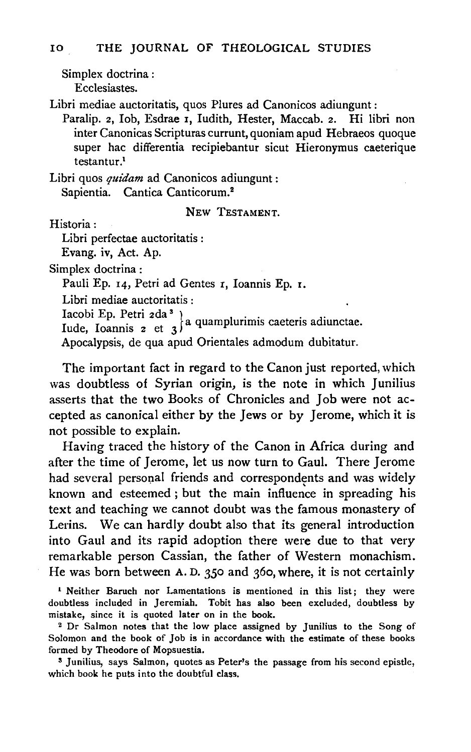Simplex doctrina : Ecclesiastes.

Libri mediae auctoritatis, quos Plures ad Canonicos adiungunt :

Paralip. 2, Iob, Esdrae 1, Iudith, Hester, Maccab. 2. Hi libri non inter Canonicas Scripturas currunt, quoniam apud Hebraeos quoque super hac differentia recipiebantur sicut Hieronymus caeterique testantur.<sup>1</sup>

Libri quos *quidam* ad Canonicos adiungunt : Sapientia. Cantica Canticorum.<sup>2</sup>

NEW TESTAMENT.

Historia:

Libri perfectae auctoritatis :

Evang. iv, Act. Ap.

Simplex doctrina :

Pauli Ep. 14, Petri ad Gentes 1, Ioannis Ep. 1.

Libri mediae auctoritatis :

Iacobi Ep. Petri 2da<sup>3</sup> }a quamplurimis caeteris adiunctae.<br>Iude, Ioannis 2 et 3 }<sup>a</sup> quamplurimis caeteris adiunctae.

Apocalypsis, de qua apud Orientales admodum dubitatur.

The important fact in regard to the Canon just reported, which was doubtless of Syrian origin, is the note in which Junilius asserts that the two Books of Chronicles and Job were not accepted as canonical either by the Jews or by Jerome, which it is not possible to explain.

Having traced the history of the Canon in Africa during and after the time of Jerome, let us now turn to Gaul. There Jerome had several personal friends and correspondents and was widely known and esteemed ; but the main influence in spreading his text and teaching we cannot doubt was the famous monastery of Lerins. We can hardly doubt also that its general introduction into Gaul and its rapid adoption there were due to that very remarkable person Cassian, the father of Western monachism. He was born between A. D. *350* and 360, where, it is not certainly

1 Neither Baruch nor Lamentations is mentioned in this list; they were doubtless included in Jeremiah. Tobit has also been excluded, doubtless by mistake, since it is quoted later on in the book.<br><sup>2</sup> Dr Salmon notes that the low place assigned by Junilius to the Song of

Solomon and the book of Job is in accordance with the estimate of these books formed by Theodore of Mopsuestia.<br>3 Junilius, says Salmon, quotes as Peter's the passage from his second epistle,

which book he puts into the doubtful class.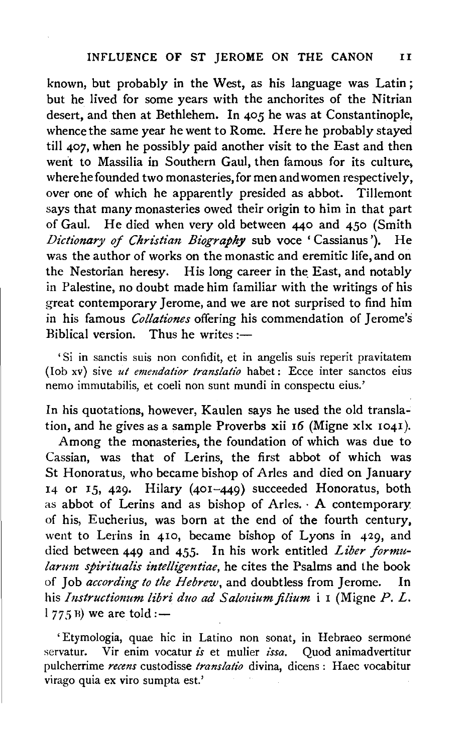known, but probably in the West, as his language was Latin; but he lived for some years with the anchorites of the Nitrian desert, and then at Bethlehem. In *405* he was at Constantinople, whence the same year he went to Rome. Here he probably stayed till 407, when he possibly paid another visit to the East and then went to Massilia in Southern Gaul, then famous for its culture, where he founded two monasteries, for men and women respectively, over one of which he apparently presided as abbot. Tillemont says that many monasteries owed their origin to him in that part of Gaul. He died when very old between 440 and 450 (Smith *Dictionary of Christian Biography* sub voce ' Cassianus'). He was the author of works on the monastic and eremitic life, and on the Nestorian heresy. His long career in the East, and notably in Palestine, no doubt made him familiar with the writings of his great contemporary Jerome, and we are not surprised to find him in his famous *Collationes* offering his commendation of Jerome's Biblical version. Thus he writes  $:$ 

'Si in sanctis suis non confidit, et in angelis suis reperit pravitatem (lob xv) sive *ut emendatior translatio* habet: Ecce inter sanctos eius nemo immutabilis, et coeli non sunt mundi in conspectu eius.'

In his quotations, however, Kaulen says he used the old translation, and he gives as a sample Proverbs xii 16 (Migne xlx 1041).

Among the monasteries, the foundation of which was due to Cassian, was that of Lerins, the first abbot of which was St Honoratus, who became bishop of Aries and died on January 14 or 15, 429. Hilary (401-449) succeeded Honoratus, both as abbot of Lerins and as bishop of Aries. · A contemporary of his, Eucherius, was born at the end of the fourth century. went to Lerins in 410, became bishop of Lyons in 429, and died between 449 and *455·* In his work entitled *Liber formularum spiritualls inte!Ngmtiae,* he cites the Psalms and the book of Job *according to the Hebrew,* and doubtless from Jerome. In his *Instructionum libri duo ad Salonium filium* i 1 (Migne P. L.  $1775B$ ) we are told:-

'Etymologia, quae hie in Latino non sonat, in Hebraeo sermone servatur. Vir enim vocatur *is* et mulier *issa.* Quod animadvertitur pulcherrime *recms* custodisse *translatio* divina, dicens : Haec vocabitur virago quia ex viro sumpta est.'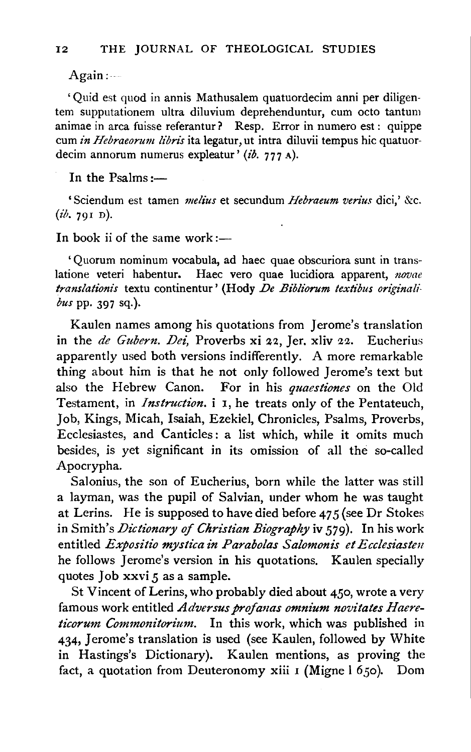Again:

'Quid est quod in annis Mathusalem quatuordecim anni per diligentem supputationem ultra diluvium deprehenduntur, cum octo tantum animae in area fuisse referantur? Resp. Error in numero est : quippe cum *in Hebraeorum libris* ita legatur, ut intra diluvii tempus hie quatuordecim annorum numerus expleatur' *(ib.* 777 A).

In the Psalms  $:=$ 

'Sciendum est tamen *melius* et secundum *Hebraeum verius* dici,' &c. *(ib.* 791 D).

In book ii of the same work: $-$ 

'Quorum nominum vocabula, ad haec quae obscuriora sunt in translatione veteri habentur. Haec vero quae lucidiora apparent, *novae translationis* textu continentur' (Hody *De Bibliorum textibus originalibus* pp. 397 sq.).

Kaulen names among his quotations from Jerome's translation in the *de Gubern. Dei,* Proverbs xi 22, Jer. xliv 22. Eucherius apparently used both versions indifferently. A more remarkable thing about him is that he not only followed Jerome's text but also the Hebrew Canon. For in his *quaestiones* on the Old Testament, in *Instruction.* i I, he treats only of the Pentateuch, Job, Kings, Micah, Isaiah, Ezekiel, Chronicles, Psalms, Proverbs, Ecclesiastes, and Canticles: a list which, while it omits much besides, is yet significant in its omission of all the so-called Apocrypha.

Salonius, the son of Eucherius, born while the latter was still a layman, was the pupil of Salvian, under whom he was taught at Lerins. He is supposed to have died before 47 *5* (see Dr Stokes in Smith's *Dictionary of Christian Biography* iv *579).* In his work entitled *Expositio mystica in Parabolas Salomonis et Ecclesiasten* he follows Jerome's version in his quotations. Kaulen specially quotes Job xxvi *5* as a sample.

St Vincent of Lerins, who probably died about 450, wrote a very famous work entitled Adversus profanas omnium novitates Haere*ticorum Commonitorium.* In this work, which was published in 434, Jerome's translation is used (see Kaulen, followed by White in Hastings's Dictionary). Kaulen mentions, as proving the fact, a quotation from Deuteronomy xiii 1 (Migne 1 *65o).* Dom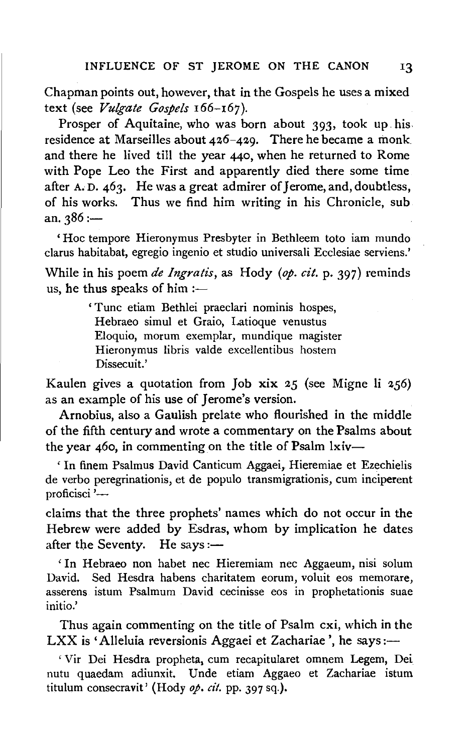Chapman points out, however, that in the Gospels he uses a mixed text (see *Vulgate Gospels* 166-167).

Prosper of Aquitaine, who was born about 393, took up. his. residence at Marseilles about 4z6-429. There he became a monk and there he lived till the year 440, when he returned to Rome with Pope Leo the First and apparently died there some time after A. D. 463. He was a great admirer of Jerome, and, doubtless, of his works. Thus we find him writing in his Chronicle, sub an.  $386:$ 

'Hoc tempore Hieronymus Presbyter in Bethleem toto iam mundo clarus habitabat, egregio ingenio et studio universali Ecclesiae serviens.'

While in his poem *de lngratis,* as Hody *(op. cit.* p. 397) reminds us, he thus speaks of him  $:$ 

> ' Tunc etiam Bethlei praeclari nominis hospes, Hebraeo simul et Graio, Latioque venustus Eloquio, morum exemplar, mundique magister Hieronymus libris valde excellentibus hostem Dissecuit.'

Kaulen gives a quotation from Job xix *zs* (see Migne 1i 256) as an example of his use of Jerome's version.

Arnobius, also a Gaulish prelate who flourished in the middle of the fifth century and wrote a commentary on the Psalms about the year 460, in commenting on the title of Psalm  $ixi$ 

' In finem Psalmus David Canticum Aggaei, Hieremiae et Ezechielis de verbo peregrinationis, et de populo transmigrationis, cum inciperent proficisci '-

claims that the three prophets' names which do not occur in the Hebrew were added by Esdras, whom by implication he dates after the Seventy. He says: $\rightarrow$ 

' In Hebraeo non habet nee Hieremiam nee Aggaeum, nisi solum David. Sed Hesdra habens charitatem eorum, voluit eos memorare, asserens istum Psalmum David cecinisse eos in prophetationis suae initio.'

Thus again commenting on the title of Psalm cxi, which in the LXX is 'Alleluia reversionis Aggaei et Zachariae', he says: $-$ 

' Vir Dei Hesdra propheta, cum recapitularet omnem Legem, Dei nutu quaedam adiunxit. Unde etiam Aggaeo et Zachariae istum titulum consecravit' (Hody *op.* cif. pp. 397 sq.).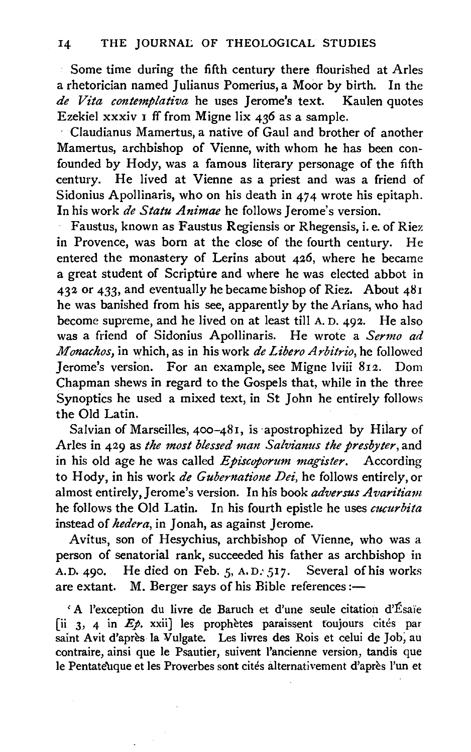Some time during the fifth century there flourished at Aries a rhetorician named Julianus Pomerius, a Moor by birth. In the de Vita contemplativa he uses Jerome's text. Kaulen quotes Ezekiel xxxiv 1 ff from Migne lix 436 as a sample.

Claudianus Mamertus, a native of Gaul and brother of another Mamertus, archbishop of Vienne, with whom he has been confounded by Hody, was a famous literary personage of the fifth century. He lived at Vienne as a priest and was a friend of Sidonius Apollinaris, who on his death in 474 wrote his epitaph. In his work *de Statu Animae* he follows Jerome's version.

Faustus, known as Faustus Regiensis or Rhegensis, i.e. of Riez in Provence, was born at the close of the fourth century. He entered the monastery of Lerins about 426, where he became a great student of Scripture and where he was elected abbot in 432 or 433, and eventually he became bishop of Riez. About 481 he was banished from his see, apparently by the Arians, who had become supreme, and he lived on at least till A. D. 492. He also was a friend of Sidonius Apollinaris. He wrote a *Sermo ad Monachos,* in which, as in his work *de Libero Arbitrio,* he followed Jerome's version. For an example, see Migne lviii 812. Dom Chapman shews in regard to the Gospels that, while in the three Synoptics he used a mixed text, in St John he entirely follows the Old Latin.

Salvian of Marseilles,  $400-481$ , is apostrophized by Hilary of Aries in 429 as *the most blessed man Salvianus the presbyter,* and in his old age he was called *Episcoporum magister.* According to Hody, in his work *de Gubenzatione Dei,* he follows entirely, or almost entirely, Jerome's version. In his book *adversus Avaritiam*  he follows the Old Latin. In his fourth epistle he uses *cucurbita*  instead of *hedera*, in Jonah, as against Jerome.

Avitus, son of Hesychius, archbishop of Vienne, who was a person of senatorial rank, succeeded his father as archbishop in A.D. 490. He died on Feb. 5, A.D. 517. Several of his works are extant. M. Berger says of his Bible references:-

'A !'exception du livre de Baruch et d'une seule citation d'Esale [ii 3, 4 in  $Ep$ . xxii] les prophètes paraissent toujours cités par saint Avit d'après la Vulgate. Les livres des Rois et celui de Job, au contraire, ainsi que le Psautier, suivent l'ancienne version, tandis que le Pentateuque et les Proverbes sont cités alternativement d'après l'un et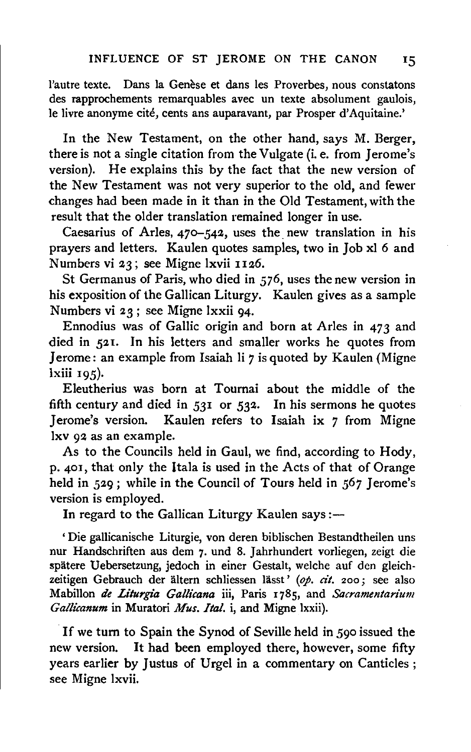l'autre texte. Dans la Genèse et dans les Proverbes, nous constatons des rapprochements remarquables avec un texte absolument gaulois, le livre anonyme cité, cents ans auparavant, par Prosper d'Aquitaine.'

In the New Testament, on the other hand, says M. Berger, there is not a single citation from the Vulgate (i. e. from Jerome's version). He explains this by the fact that the new version of the New Testament was not very superior to the old, and fewer changes had been made in it than in the Old Testament, with the result that the older translation remained longer in use.

Caesarius of Arles,  $470 - 542$ , uses the new translation in his prayers and letters. Kaulen quotes samples, two in Job xl *6* and Numbers vi 23; see Migne lxvii 1126.

St Germanus of Paris, who died in 576, uses the new version in his exposition of the Gallican Liturgy. Kaulen gives as a sample Numbers vi 2 *3* ; see Migne lxxii 94.

Ennodius was of Gallic origin and born at Aries in 473 and died in 521. In his letters and smaller works he quotes from Jerome: an example from Isaiah li 7 is quoted by Kaulen (Migne lxiii 195).

Eleutherius was born at Tournai about the middle of the fifth century and died in  $531$  or  $532$ . In his sermons he quotes Jerome's version. Kaulen refers to Isaiah ix 7 from Migne lxv 92 as an example.

As to the Councils held in Gaul, we find, according to Hody, p. 401, that only the ltala is used in the Acts of that of Orange held in 529; while in the Council of Tours held in 567 Jerome's version is employed.

In regard to the Gallican Liturgy Kaulen says :-

'Die gallicanische Liturgic, von deren biblischen Bestandtheilen uns nur Handschriften aus dem 7· und 8. Jahrhundert vorliegen, zeigt die spatere Uebersetzung, jedoch in einer Gestalt, welche auf den gleichzeitigen Gebrauch der ältern schliessen lässt' (op. cit. 200; see also Mabillon *de Liturgia Gallicana* iii, Paris 1785, and *Sacramentarium Gallicanum* in Muratori *Mus. Ita!.* i, and Migne lxxii).

If we turn to Spain the Synod of Seville held in 590 issued the new version. It had been employed there, however, some fifty years earlier by Justus of Urgel in a commentary on Canticles; see Migne lxvii.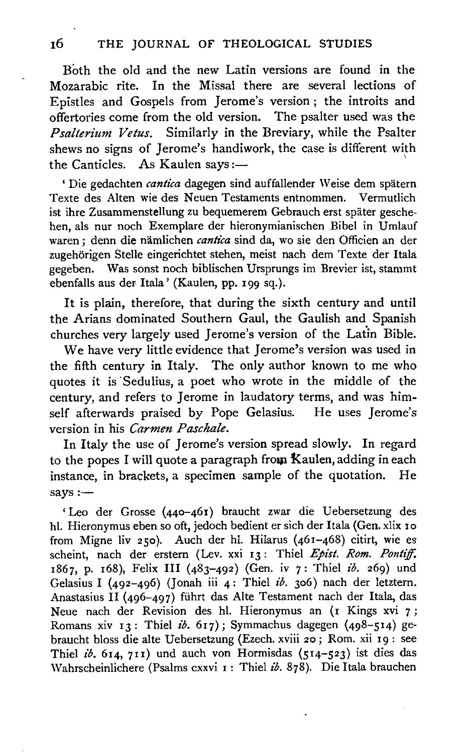Both the old and the new Latin versions are found in the Mozarabic rite. In the Missal there are several lections of Epistles and Gospels from Jerome's version; the introits and offertories come from the old version. The psalter used was the *Psalterium Vetus.* Similarly in the Breviary, while the Psalter shews no signs of Jerome's handiwork, the case is different with \ the Canticles. As Kaulen says: $-$ 

' Die gedachten *cantica* dagegen sind auffallender Weise dem spätern Texte des Alten wie des Neuen Testaments entnommen. Vermutlich ist ihre Zusammenstellung zu bequemerem Gebrauch erst spater geschehen, als nur noch Exemplare der hieronymianischen Bibel in Umlauf waren ; denn die nämlichen *cantica* sind da, wo sie den Officien an der zugehörigen Stelle eingerichtet stehen, meist nach dem Texte der Itala gegeben. Was sonst noch biblischen Ursprungs im Brevier ist, stammt ebenfalls aus der Itala' (Kaulen, pp. 199 sq.).

It is plain, therefore, that during the sixth century and until the Arians dominated Southern Gaul, the Gaulish and Spanish churches very largely used Jerome's version of the Latin Bible.

We have very little evidence that Jerome's version was used in the fifth century in Italy. The only author known to me who quotes it is 'Sedulius, a poet who wrote in the middle of the century, and refers to Jerome in laudatory terms, and was himself afterwards praised by Pope Gelasius. He uses Jerome's version in his *Carmen Paschale.* 

In Italy the use of Jerome's version spread slowly. In regard to the popes I will quote a paragraph from  $k$  aulen, adding in each instance, in brackets, a specimen sample of the quotation. He  $s$ ays: $-$ 

'Leo der Grosse (440-461) braucht zwar die Uebersetzung des hl. Hieronymus eben so oft, jedoch bedient er sich der Itala (Gen. xlix 10 from Migne liv 250). Auch der hi. Hilarus (46I-468) citirt, wie es scheint, nach der erstern (Lev. xxi 13: Thiel *Epist. Rom. Pontiff.* I867, p. I68), Felix Ill (483-492) (Gen. iv 7: Thiel *ib.* 269) und Gelasius I ( $492-496$ ) (Jonah iii  $4$ : Thiel *ib.* 306) nach der letztern. Anastasius II (496-497) fiihrt das Alte Testament nach der Itala, das Neue nach der Revision des hi. Hieronymus an (I Kings xvi 7; Romans xiv 13: Thiel *ib.* 617); Symmachus dagegen (498-514) gebraucht bloss die alte Uebersetzung (Ezech. xviii 20; Rom. xii I9: see Thiel *ib.* 614, 711) und auch von Hormisdas (514-523) ist dies das Wahrscheinlichere (Psalms cxxvi I : Thiel ib. 878). Die Itala brauchen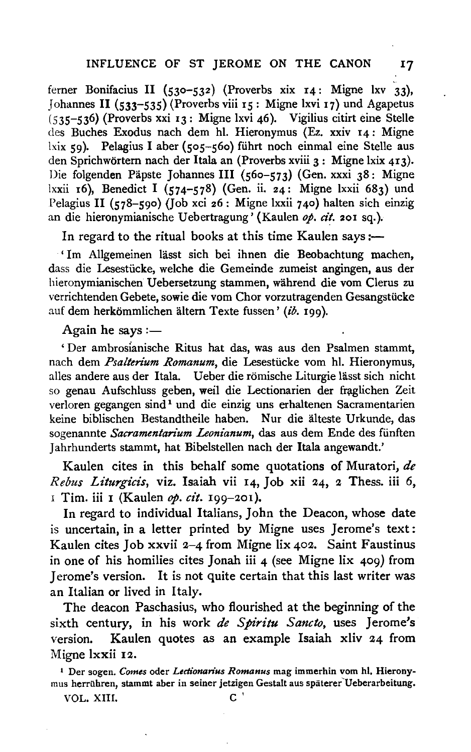ferner Bonifacius II (530-532) (Proverbs xix 14: Migne lxv 33), Johannes II (533–535) (Proverbs viii 15: Migne lxvi 17) und Agapetus (535-536) (Proverbs xxi 13: Migne lxvi 46). Vigilius citirt eine Stelle des Buches Exodus nach dem hl. Hieronymus (Ez. xxiv 14 : Migne lxix 59). Pelagius I aber (sos-s6o) fiihrt noch einmal eine Stelle aus den Sprichwortem nach der Itala an (Proverbs xviii 3: Migne lxix 413). Die folgenden Päpste Johannes III (560-573) (Gen. xxxi 38: Migne lxxii r6), Benedict I (574-578) (Gen. ii. 24: Migne lxxii 683) und Pelagius II (578-590) (Job xci 26: Migne lxxii 740) halten sich einzig an die hieronymianische Uebertragung' (Kaulen *op. dt.* 201 sq.).

In regard to the ritual books at this time Kaulen says: $-$ 

' Im Allgemeinen lasst sich bei ihnen die Beobachtung machen, dass die Lesestiicke, welche die Gemeinde zumeist angingen, aus der hieronymianischen Uebersetzung stammen, wahrend die vom Clerus zu verrichtenden Gebete, sowie die vom Chor vorzutragenden Gesangstiicke auf dem herkommlichen altem Texte fussen' *(ib.* 199).

Again he says  $=$ 

' Der ambrosianische Ritus hat das, was aus den Psalmen stammt, nach dem *Psalterium Romanum,* die Lesestiicke vom hl. Hieronymus, alles andere aus der Itala. Ueber die römische Liturgie lässt sich nicht so genau Aufschluss geben, weil die Lectionarien der fraglichen Zeit verloren gegangen sind<sup>1</sup> und die einzig uns erhaltenen Sacramentarien keine biblischen Bestandtheile haben. Nur die alteste Urkunde, das sogenannte *Sacramentarium Leonianum,* das aus dem Ende des fiinften Jahrhunderts stammt, hat Bibelstellen nach der Itala angewandt.'

Kaulen cites in this behalf some quotations of Muratori, *de Rebus Liturgicis,* viz. Isaiah vii 14, Job xii 24, 2 Thess. iii 6, 1 Tim. iii I (Kaulen *op. cit.* 199-201).

In regard to individual Italians, John the Deacon, whose date is uncertain, in a letter printed by Migne uses Jerome's text: Kaulen cites Job xxvii 2-4 from Migne lix 402. Saint Faustinus in one of his homilies cites Jonah iii 4 (see Migne lix 409) from Jerome's version. It is not quite certain that this last writer was an Italian or lived in Italy.

The deacon Paschasius, who flourished at the beginning of the sixth century, in his work *de Spiritu Sancto,* uses Jerome's version. Kaulen quotes as an example Isaiah xliv 24 from Migne lxxii 12.

t Der sogen. *Comes* oder *Lectionarius Romanus* mag immerhin vom hl. Hieronymus herrühren, stammt aber in seiner jetzigen Gestalt aus späterer Ueberarbeitung.

VOL. XIII. C